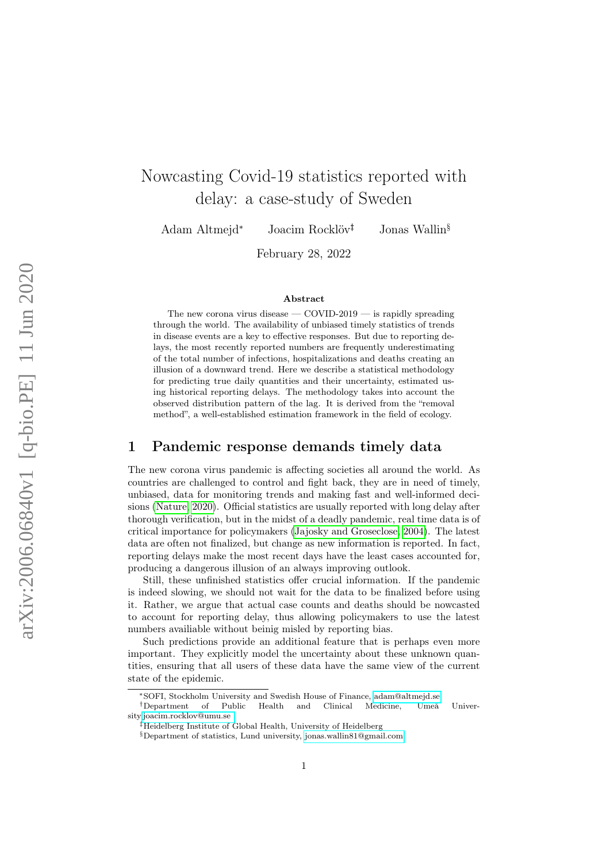# Nowcasting Covid-19 statistics reported with delay: a case-study of Sweden

Adam Altmejd<sup>∗</sup> Joacim Rocklöv†‡ Jonas Wallin§

February 28, 2022

#### Abstract

The new corona virus disease  $-$  COVID-2019  $-$  is rapidly spreading through the world. The availability of unbiased timely statistics of trends in disease events are a key to effective responses. But due to reporting delays, the most recently reported numbers are frequently underestimating of the total number of infections, hospitalizations and deaths creating an illusion of a downward trend. Here we describe a statistical methodology for predicting true daily quantities and their uncertainty, estimated using historical reporting delays. The methodology takes into account the observed distribution pattern of the lag. It is derived from the "removal method", a well-established estimation framework in the field of ecology.

#### 1 Pandemic response demands timely data

The new corona virus pandemic is affecting societies all around the world. As countries are challenged to control and fight back, they are in need of timely, unbiased, data for monitoring trends and making fast and well-informed decisions [\(Nature, 2020\)](#page-6-0). Official statistics are usually reported with long delay after thorough verification, but in the midst of a deadly pandemic, real time data is of critical importance for policymakers [\(Jajosky and Groseclose, 2004\)](#page-6-1). The latest data are often not finalized, but change as new information is reported. In fact, reporting delays make the most recent days have the least cases accounted for, producing a dangerous illusion of an always improving outlook.

Still, these unfinished statistics offer crucial information. If the pandemic is indeed slowing, we should not wait for the data to be finalized before using it. Rather, we argue that actual case counts and deaths should be nowcasted to account for reporting delay, thus allowing policymakers to use the latest numbers availiable without beinig misled by reporting bias.

Such predictions provide an additional feature that is perhaps even more important. They explicitly model the uncertainty about these unknown quantities, ensuring that all users of these data have the same view of the current state of the epidemic.

<sup>∗</sup>SOFI, Stockholm University and Swedish House of Finance, [adam@altmejd.se](mailto:adam@altmejd.se)

<sup>†</sup>Department of Public Health and Clinical Medicine, Umeå University[,joacim.rocklov@umu.se](mailto:joacim.rocklov@umu.se)

<sup>‡</sup>Heidelberg Institute of Global Health, University of Heidelberg

<sup>§</sup>Department of statistics, Lund university, [jonas.wallin81@gmail.com](mailto:jonas.wallin81@gmail.com)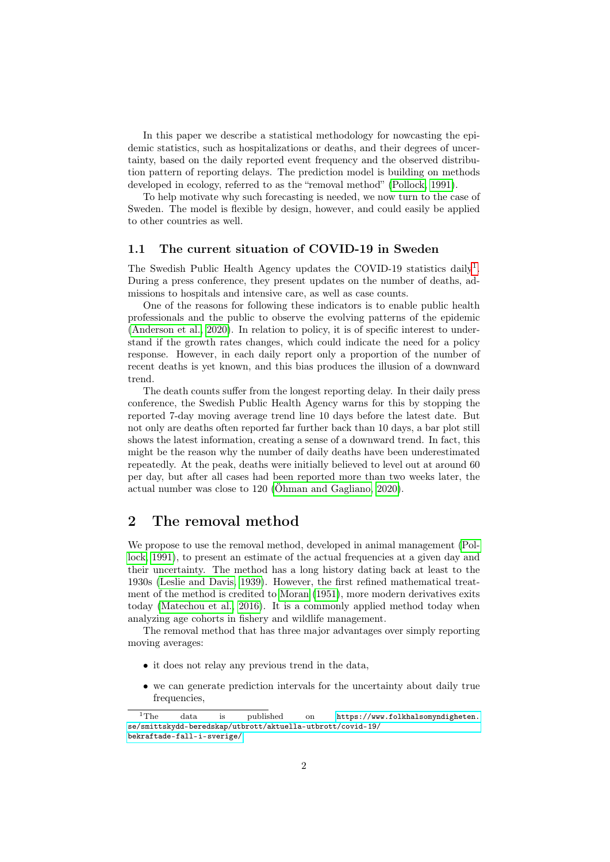In this paper we describe a statistical methodology for nowcasting the epidemic statistics, such as hospitalizations or deaths, and their degrees of uncertainty, based on the daily reported event frequency and the observed distribution pattern of reporting delays. The prediction model is building on methods developed in ecology, referred to as the "removal method" [\(Pollock, 1991\)](#page-6-2).

To help motivate why such forecasting is needed, we now turn to the case of Sweden. The model is flexible by design, however, and could easily be applied to other countries as well.

#### 1.1 The current situation of COVID-19 in Sweden

The Swedish Public Health Agency updates the COVID-[1](#page-1-0)9 statistics daily<sup>1</sup>. During a press conference, they present updates on the number of deaths, admissions to hospitals and intensive care, as well as case counts.

One of the reasons for following these indicators is to enable public health professionals and the public to observe the evolving patterns of the epidemic [\(Anderson et al., 2020\)](#page-6-3). In relation to policy, it is of specific interest to understand if the growth rates changes, which could indicate the need for a policy response. However, in each daily report only a proportion of the number of recent deaths is yet known, and this bias produces the illusion of a downward trend.

The death counts suffer from the longest reporting delay. In their daily press conference, the Swedish Public Health Agency warns for this by stopping the reported 7-day moving average trend line 10 days before the latest date. But not only are deaths often reported far further back than 10 days, a bar plot still shows the latest information, creating a sense of a downward trend. In fact, this might be the reason why the number of daily deaths have been underestimated repeatedly. At the peak, deaths were initially believed to level out at around 60 per day, but after all cases had been reported more than two weeks later, the actual number was close to 120 [\(Öhman and Gagliano, 2020\)](#page-6-4).

# 2 The removal method

We propose to use the removal method, developed in animal management [\(Pol](#page-6-2)[lock, 1991\)](#page-6-2), to present an estimate of the actual frequencies at a given day and their uncertainty. The method has a long history dating back at least to the 1930s [\(Leslie and Davis, 1939\)](#page-6-5). However, the first refined mathematical treatment of the method is credited to [Moran](#page-6-6) [\(1951\)](#page-6-6), more modern derivatives exits today [\(Matechou et al., 2016\)](#page-6-7). It is a commonly applied method today when analyzing age cohorts in fishery and wildlife management.

The removal method that has three major advantages over simply reporting moving averages:

- it does not relay any previous trend in the data,
- we can generate prediction intervals for the uncertainty about daily true frequencies,

<span id="page-1-0"></span><sup>1</sup>The data is published on [https://www.folkhalsomyndigheten.](https://www.folkhalsomyndigheten.se/smittskydd-beredskap/utbrott/aktuella-utbrott/covid-19/bekraftade-fall-i-sverige/) [se/smittskydd-beredskap/utbrott/aktuella-utbrott/covid-19/](https://www.folkhalsomyndigheten.se/smittskydd-beredskap/utbrott/aktuella-utbrott/covid-19/bekraftade-fall-i-sverige/) [bekraftade-fall-i-sverige/](https://www.folkhalsomyndigheten.se/smittskydd-beredskap/utbrott/aktuella-utbrott/covid-19/bekraftade-fall-i-sverige/).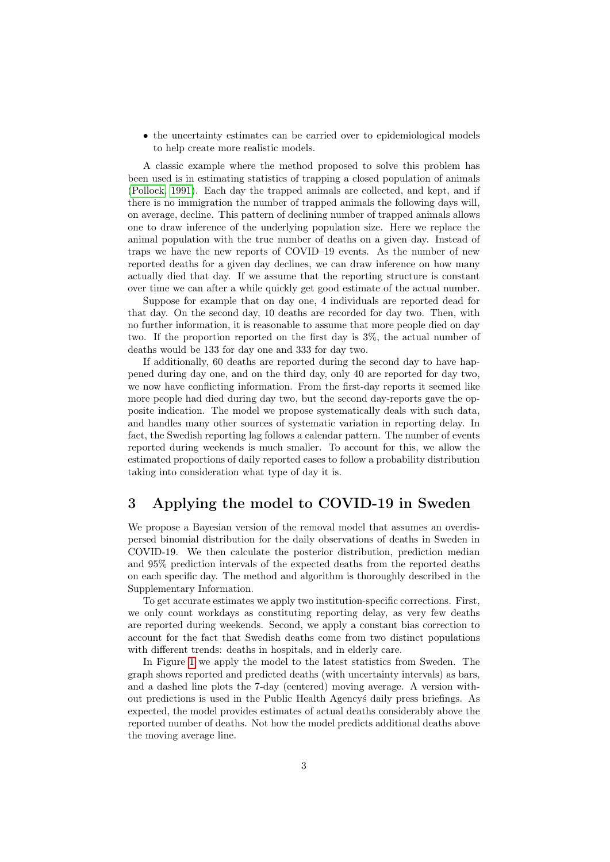• the uncertainty estimates can be carried over to epidemiological models to help create more realistic models.

A classic example where the method proposed to solve this problem has been used is in estimating statistics of trapping a closed population of animals [\(Pollock, 1991\)](#page-6-2). Each day the trapped animals are collected, and kept, and if there is no immigration the number of trapped animals the following days will, on average, decline. This pattern of declining number of trapped animals allows one to draw inference of the underlying population size. Here we replace the animal population with the true number of deaths on a given day. Instead of traps we have the new reports of COVID–19 events. As the number of new reported deaths for a given day declines, we can draw inference on how many actually died that day. If we assume that the reporting structure is constant over time we can after a while quickly get good estimate of the actual number.

Suppose for example that on day one, 4 individuals are reported dead for that day. On the second day, 10 deaths are recorded for day two. Then, with no further information, it is reasonable to assume that more people died on day two. If the proportion reported on the first day is 3%, the actual number of deaths would be 133 for day one and 333 for day two.

If additionally, 60 deaths are reported during the second day to have happened during day one, and on the third day, only 40 are reported for day two, we now have conflicting information. From the first-day reports it seemed like more people had died during day two, but the second day-reports gave the opposite indication. The model we propose systematically deals with such data, and handles many other sources of systematic variation in reporting delay. In fact, the Swedish reporting lag follows a calendar pattern. The number of events reported during weekends is much smaller. To account for this, we allow the estimated proportions of daily reported cases to follow a probability distribution taking into consideration what type of day it is.

### 3 Applying the model to COVID-19 in Sweden

We propose a Bayesian version of the removal model that assumes an overdispersed binomial distribution for the daily observations of deaths in Sweden in COVID-19. We then calculate the posterior distribution, prediction median and 95% prediction intervals of the expected deaths from the reported deaths on each specific day. The method and algorithm is thoroughly described in the Supplementary Information.

To get accurate estimates we apply two institution-specific corrections. First, we only count workdays as constituting reporting delay, as very few deaths are reported during weekends. Second, we apply a constant bias correction to account for the fact that Swedish deaths come from two distinct populations with different trends: deaths in hospitals, and in elderly care.

In Figure [1](#page-3-0) we apply the model to the latest statistics from Sweden. The graph shows reported and predicted deaths (with uncertainty intervals) as bars, and a dashed line plots the 7-day (centered) moving average. A version without predictions is used in the Public Health Agencyś daily press briefings. As expected, the model provides estimates of actual deaths considerably above the reported number of deaths. Not how the model predicts additional deaths above the moving average line.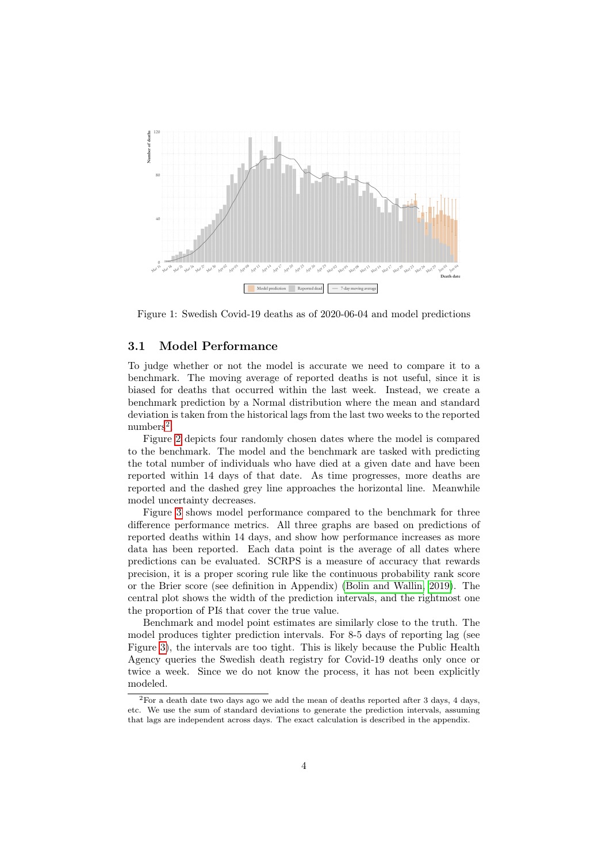

<span id="page-3-0"></span>Figure 1: Swedish Covid-19 deaths as of 2020-06-04 and model predictions

#### 3.1 Model Performance

To judge whether or not the model is accurate we need to compare it to a benchmark. The moving average of reported deaths is not useful, since it is biased for deaths that occurred within the last week. Instead, we create a benchmark prediction by a Normal distribution where the mean and standard deviation is taken from the historical lags from the last two weeks to the reported  $\text{numbers}^2$  $\text{numbers}^2$ .

Figure [2](#page-4-0) depicts four randomly chosen dates where the model is compared to the benchmark. The model and the benchmark are tasked with predicting the total number of individuals who have died at a given date and have been reported within 14 days of that date. As time progresses, more deaths are reported and the dashed grey line approaches the horizontal line. Meanwhile model uncertainty decreases.

Figure [3](#page-4-1) shows model performance compared to the benchmark for three difference performance metrics. All three graphs are based on predictions of reported deaths within 14 days, and show how performance increases as more data has been reported. Each data point is the average of all dates where predictions can be evaluated. SCRPS is a measure of accuracy that rewards precision, it is a proper scoring rule like the continuous probability rank score or the Brier score (see definition in Appendix) [\(Bolin and Wallin, 2019\)](#page-6-8). The central plot shows the width of the prediction intervals, and the rightmost one the proportion of PIś that cover the true value.

Benchmark and model point estimates are similarly close to the truth. The model produces tighter prediction intervals. For 8-5 days of reporting lag (see Figure [3\)](#page-4-1), the intervals are too tight. This is likely because the Public Health Agency queries the Swedish death registry for Covid-19 deaths only once or twice a week. Since we do not know the process, it has not been explicitly modeled.

<span id="page-3-1"></span> ${}^{2}$ For a death date two days ago we add the mean of deaths reported after 3 days, 4 days, etc. We use the sum of standard deviations to generate the prediction intervals, assuming that lags are independent across days. The exact calculation is described in the appendix.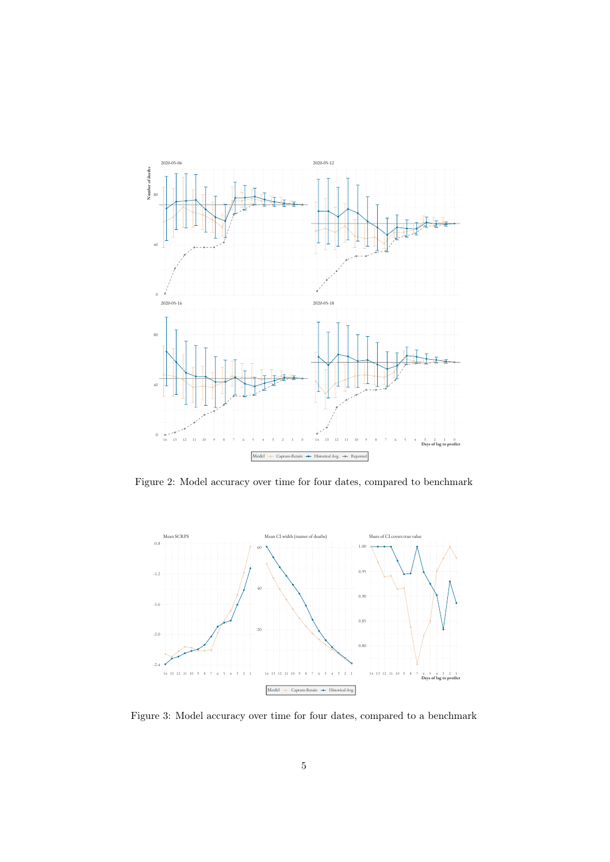

<span id="page-4-0"></span>Figure 2: Model accuracy over time for four dates, compared to benchmark



<span id="page-4-1"></span>Figure 3: Model accuracy over time for four dates, compared to a benchmark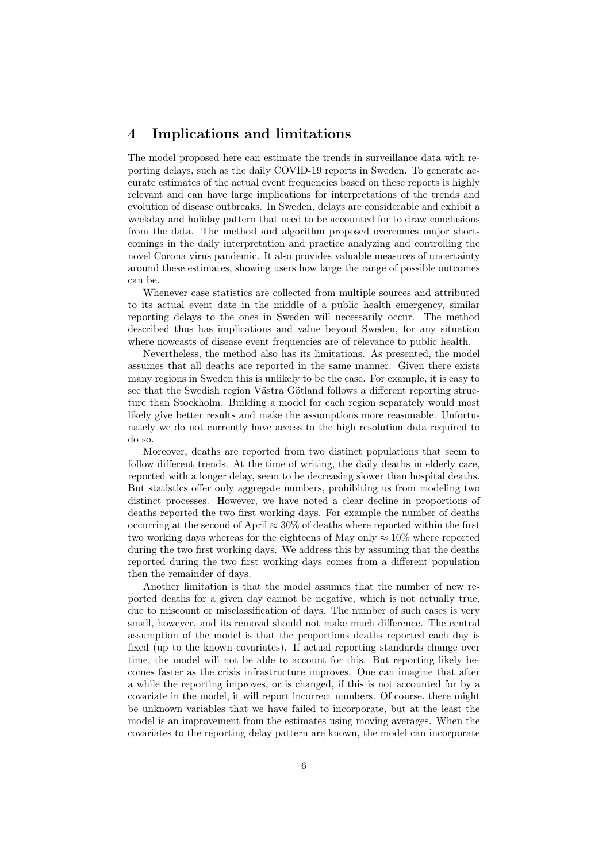### 4 Implications and limitations

The model proposed here can estimate the trends in surveillance data with reporting delays, such as the daily COVID-19 reports in Sweden. To generate accurate estimates of the actual event frequencies based on these reports is highly relevant and can have large implications for interpretations of the trends and evolution of disease outbreaks. In Sweden, delays are considerable and exhibit a weekday and holiday pattern that need to be accounted for to draw conclusions from the data. The method and algorithm proposed overcomes major shortcomings in the daily interpretation and practice analyzing and controlling the novel Corona virus pandemic. It also provides valuable measures of uncertainty around these estimates, showing users how large the range of possible outcomes can be.

Whenever case statistics are collected from multiple sources and attributed to its actual event date in the middle of a public health emergency, similar reporting delays to the ones in Sweden will necessarily occur. The method described thus has implications and value beyond Sweden, for any situation where nowcasts of disease event frequencies are of relevance to public health.

Nevertheless, the method also has its limitations. As presented, the model assumes that all deaths are reported in the same manner. Given there exists many regions in Sweden this is unlikely to be the case. For example, it is easy to see that the Swedish region Västra Götland follows a different reporting structure than Stockholm. Building a model for each region separately would most likely give better results and make the assumptions more reasonable. Unfortunately we do not currently have access to the high resolution data required to do so.

Moreover, deaths are reported from two distinct populations that seem to follow different trends. At the time of writing, the daily deaths in elderly care, reported with a longer delay, seem to be decreasing slower than hospital deaths. But statistics offer only aggregate numbers, prohibiting us from modeling two distinct processes. However, we have noted a clear decline in proportions of deaths reported the two first working days. For example the number of deaths occurring at the second of April  $\approx 30\%$  of deaths where reported within the first two working days whereas for the eighteens of May only  $\approx 10\%$  where reported during the two first working days. We address this by assuming that the deaths reported during the two first working days comes from a different population then the remainder of days.

Another limitation is that the model assumes that the number of new reported deaths for a given day cannot be negative, which is not actually true, due to miscount or misclassification of days. The number of such cases is very small, however, and its removal should not make much difference. The central assumption of the model is that the proportions deaths reported each day is fixed (up to the known covariates). If actual reporting standards change over time, the model will not be able to account for this. But reporting likely becomes faster as the crisis infrastructure improves. One can imagine that after a while the reporting improves, or is changed, if this is not accounted for by a covariate in the model, it will report incorrect numbers. Of course, there might be unknown variables that we have failed to incorporate, but at the least the model is an improvement from the estimates using moving averages. When the covariates to the reporting delay pattern are known, the model can incorporate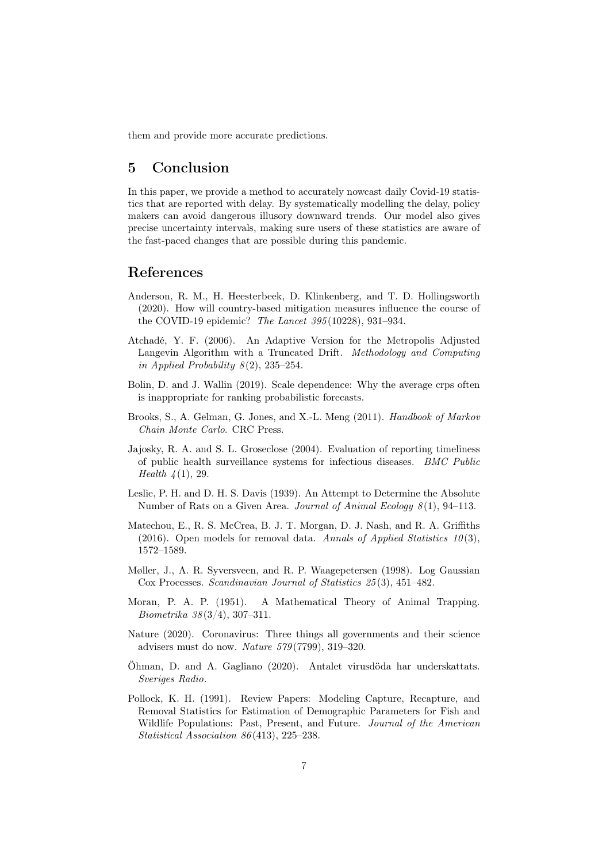them and provide more accurate predictions.

# 5 Conclusion

In this paper, we provide a method to accurately nowcast daily Covid-19 statistics that are reported with delay. By systematically modelling the delay, policy makers can avoid dangerous illusory downward trends. Our model also gives precise uncertainty intervals, making sure users of these statistics are aware of the fast-paced changes that are possible during this pandemic.

### References

- <span id="page-6-3"></span>Anderson, R. M., H. Heesterbeek, D. Klinkenberg, and T. D. Hollingsworth (2020). How will country-based mitigation measures influence the course of the COVID-19 epidemic? The Lancet 395 (10228), 931–934.
- <span id="page-6-11"></span>Atchadé, Y. F. (2006). An Adaptive Version for the Metropolis Adjusted Langevin Algorithm with a Truncated Drift. Methodology and Computing in Applied Probability  $8(2)$ , 235–254.
- <span id="page-6-8"></span>Bolin, D. and J. Wallin (2019). Scale dependence: Why the average crps often is inappropriate for ranking probabilistic forecasts.
- <span id="page-6-10"></span>Brooks, S., A. Gelman, G. Jones, and X.-L. Meng (2011). Handbook of Markov Chain Monte Carlo. CRC Press.
- <span id="page-6-1"></span>Jajosky, R. A. and S. L. Groseclose (2004). Evaluation of reporting timeliness of public health surveillance systems for infectious diseases. BMC Public *Health*  $\frac{1}{4}$ (1), 29.
- <span id="page-6-5"></span>Leslie, P. H. and D. H. S. Davis (1939). An Attempt to Determine the Absolute Number of Rats on a Given Area. Journal of Animal Ecology  $8(1)$ , 94–113.
- <span id="page-6-7"></span>Matechou, E., R. S. McCrea, B. J. T. Morgan, D. J. Nash, and R. A. Griffiths (2016). Open models for removal data. Annals of Applied Statistics  $10(3)$ , 1572–1589.
- <span id="page-6-9"></span>Møller, J., A. R. Syversveen, and R. P. Waagepetersen (1998). Log Gaussian Cox Processes. Scandinavian Journal of Statistics 25 (3), 451–482.
- <span id="page-6-6"></span>Moran, P. A. P. (1951). A Mathematical Theory of Animal Trapping. Biometrika 38 (3/4), 307–311.
- <span id="page-6-0"></span>Nature (2020). Coronavirus: Three things all governments and their science advisers must do now. Nature 579 (7799), 319–320.
- <span id="page-6-4"></span>Öhman, D. and A. Gagliano (2020). Antalet virusdöda har underskattats. Sveriges Radio.
- <span id="page-6-2"></span>Pollock, K. H. (1991). Review Papers: Modeling Capture, Recapture, and Removal Statistics for Estimation of Demographic Parameters for Fish and Wildlife Populations: Past, Present, and Future. Journal of the American Statistical Association 86 (413), 225–238.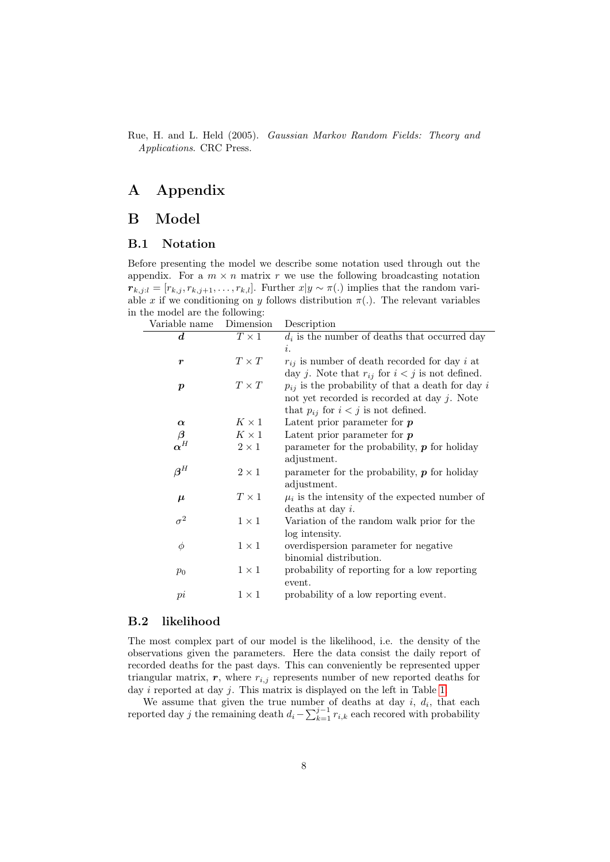<span id="page-7-0"></span>Rue, H. and L. Held (2005). Gaussian Markov Random Fields: Theory and Applications. CRC Press.

# A Appendix

## B Model

#### B.1 Notation

Before presenting the model we describe some notation used through out the appendix. For a  $m \times n$  matrix r we use the following broadcasting notation  $r_{k,j;l} = [r_{k,j}, r_{k,j+1}, \ldots, r_{k,l}]$ . Further  $x|y \sim \pi(.)$  implies that the random variable x if we conditioning on y follows distribution  $\pi(.)$ . The relevant variables in the model are the following:

| Variable name          | Dimension    | Description                                           |  |  |
|------------------------|--------------|-------------------------------------------------------|--|--|
| $\boldsymbol{d}$       | $T\times 1$  | $d_i$ is the number of deaths that occurred day       |  |  |
|                        |              | i.                                                    |  |  |
| $\boldsymbol{r}$       | $T \times T$ | $r_{ij}$ is number of death recorded for day i at     |  |  |
|                        |              | day j. Note that $r_{ij}$ for $i < j$ is not defined. |  |  |
| $\boldsymbol{p}$       | $T \times T$ | $p_{ij}$ is the probability of that a death for day i |  |  |
|                        |              | not yet recorded is recorded at day $j$ . Note        |  |  |
|                        |              | that $p_{ij}$ for $i < j$ is not defined.             |  |  |
| $\alpha$               | $K \times 1$ | Latent prior parameter for $p$                        |  |  |
| $\boldsymbol{\beta}$   | $K\times 1$  | Latent prior parameter for $p$                        |  |  |
| $\pmb{\alpha}^H$       | $2 \times 1$ | parameter for the probability, $p$ for holiday        |  |  |
|                        |              | adjustment.                                           |  |  |
| $\boldsymbol{\beta}^H$ | $2\times1$   | parameter for the probability, $p$ for holiday        |  |  |
|                        |              | adjustment.                                           |  |  |
| $\boldsymbol{\mu}$     | $T\times 1$  | $\mu_i$ is the intensity of the expected number of    |  |  |
|                        |              | deaths at day $i$ .                                   |  |  |
| $\sigma^2$             | $1 \times 1$ | Variation of the random walk prior for the            |  |  |
|                        |              | log intensity.                                        |  |  |
| $\phi$                 | $1 \times 1$ | overdispersion parameter for negative                 |  |  |
|                        |              | binomial distribution.                                |  |  |
| $p_0$                  | $1 \times 1$ | probability of reporting for a low reporting          |  |  |
|                        |              | event.                                                |  |  |
| pi                     | $1 \times 1$ | probability of a low reporting event.                 |  |  |
|                        |              |                                                       |  |  |

#### B.2 likelihood

The most complex part of our model is the likelihood, i.e. the density of the observations given the parameters. Here the data consist the daily report of recorded deaths for the past days. This can conveniently be represented upper triangular matrix,  $r$ , where  $r_{i,j}$  represents number of new reported deaths for day *i* reported at day *j*. This matrix is displayed on the left in Table [1.](#page-8-0)

We assume that given the true number of deaths at day  $i, d_i$ , that each reported day j the remaining death  $d_i - \sum_{k=1}^{j-1} r_{i,k}$  each recored with probability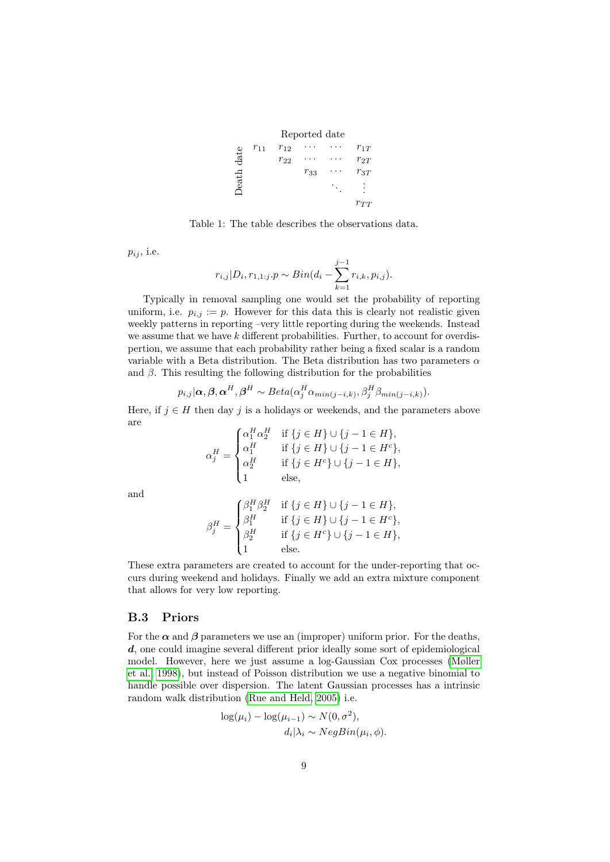|      |          |          | Reported date |          |
|------|----------|----------|---------------|----------|
|      | $r_{11}$ | $r_{12}$ |               | $r_{1T}$ |
| date |          | $r_{22}$ |               | $r_{2T}$ |
|      |          |          | $r_{33}$      | $r_{3T}$ |
| eath |          |          |               |          |
|      |          |          |               | $r_{TT}$ |

<span id="page-8-0"></span>Table 1: The table describes the observations data.

 $p_{ij}$ , i.e.

$$
r_{i,j}|D_i, r_{1,1:j}.p \sim Bin(d_i - \sum_{k=1}^{j-1} r_{i,k}, p_{i,j}).
$$

Typically in removal sampling one would set the probability of reporting uniform, i.e.  $p_{i,j} := p$ . However for this data this is clearly not realistic given weekly patterns in reporting –very little reporting during the weekends. Instead we assume that we have k different probabilities. Further, to account for overdispertion, we assume that each probability rather being a fixed scalar is a random variable with a Beta distribution. The Beta distribution has two parameters  $\alpha$ and  $\beta$ . This resulting the following distribution for the probabilities

$$
p_{i,j}|\boldsymbol{\alpha},\boldsymbol{\beta},\boldsymbol{\alpha}^H,\boldsymbol{\beta}^H \sim Beta(\alpha_j^H\alpha_{min(j-i,k)},\beta_j^H\beta_{min(j-i,k)}).
$$

Here, if  $j \in H$  then day j is a holidays or weekends, and the parameters above are

$$
\alpha_j^H = \begin{cases} \alpha_1^H \alpha_2^H & \text{if } \{j \in H\} \cup \{j-1 \in H\}, \\ \alpha_1^H & \text{if } \{j \in H\} \cup \{j-1 \in H^c\}, \\ \alpha_2^H & \text{if } \{j \in H^c\} \cup \{j-1 \in H\}, \\ 1 & \text{else,} \end{cases}
$$

and

$$
\beta_j^H = \begin{cases}\n\beta_1^H \beta_2^H & \text{if } \{j \in H\} \cup \{j - 1 \in H\}, \\
\beta_1^H & \text{if } \{j \in H\} \cup \{j - 1 \in H^c\}, \\
\beta_2^H & \text{if } \{j \in H^c\} \cup \{j - 1 \in H\}, \\
1 & \text{else.} \n\end{cases}
$$

These extra parameters are created to account for the under-reporting that occurs during weekend and holidays. Finally we add an extra mixture component that allows for very low reporting.

#### B.3 Priors

For the  $\alpha$  and  $\beta$  parameters we use an (improper) uniform prior. For the deaths, d, one could imagine several different prior ideally some sort of epidemiological model. However, here we just assume a log-Gaussian Cox processes [\(Møller](#page-6-9) [et al., 1998\)](#page-6-9), but instead of Poisson distribution we use a negative binomial to handle possible over dispersion. The latent Gaussian processes has a intrinsic random walk distribution [\(Rue and Held, 2005\)](#page-7-0) i.e.

$$
\log(\mu_i) - \log(\mu_{i-1}) \sim N(0, \sigma^2),
$$
  

$$
d_i|\lambda_i \sim NegBin(\mu_i, \phi).
$$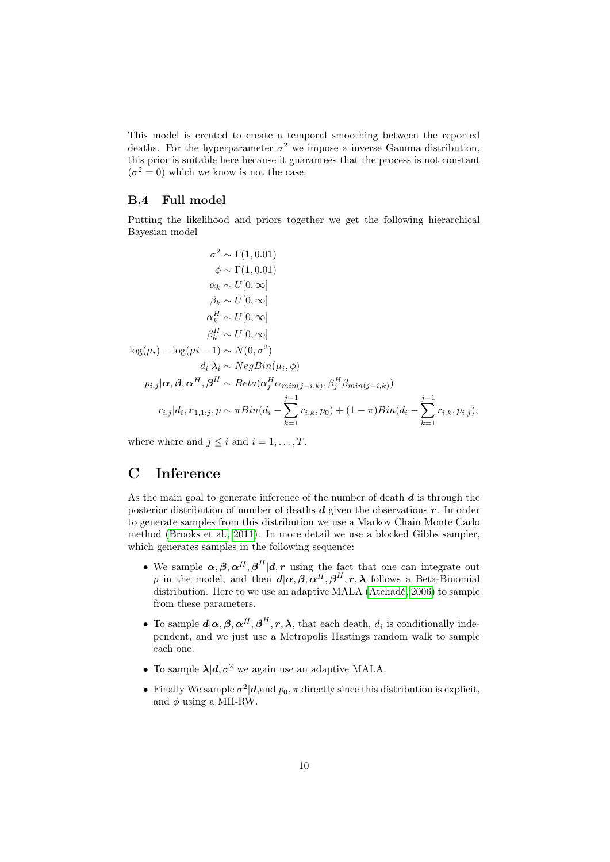This model is created to create a temporal smoothing between the reported deaths. For the hyperparameter  $\sigma^2$  we impose a inverse Gamma distribution, this prior is suitable here because it guarantees that the process is not constant  $(\sigma^2 = 0)$  which we know is not the case.

#### B.4 Full model

Putting the likelihood and priors together we get the following hierarchical Bayesian model

$$
\sigma^2 \sim \Gamma(1, 0.01)
$$
  
\n
$$
\phi \sim \Gamma(1, 0.01)
$$
  
\n
$$
\alpha_k \sim U[0, \infty]
$$
  
\n
$$
\beta_k \sim U[0, \infty]
$$
  
\n
$$
\alpha_k^H \sim U[0, \infty]
$$
  
\n
$$
\beta_k^H \sim U[0, \infty]
$$
  
\n
$$
\beta_k^H \sim U[0, \infty]
$$
  
\n
$$
\log(\mu_i) - \log(\mu_i - 1) \sim N(0, \sigma^2)
$$
  
\n
$$
d_i | \lambda_i \sim NegBin(\mu_i, \phi)
$$
  
\n
$$
p_{i,j} | \alpha, \beta, \alpha^H, \beta^H \sim Beta(\alpha_j^H \alpha_{min(j-i,k)}, \beta_j^H \beta_{min(j-i,k)})
$$
  
\n
$$
r_{i,j} | d_i, r_{1,1:j}, p \sim \pi Bin(d_i - \sum_{k=1}^{j-1} r_{i,k}, p_0) + (1 - \pi)Bin(d_i - \sum_{k=1}^{j-1} r_{i,k}, p_{i,j}),
$$

where where and  $j \leq i$  and  $i = 1, \ldots, T$ .

# C Inference

As the main goal to generate inference of the number of death  $d$  is through the posterior distribution of number of deaths  $d$  given the observations  $r$ . In order to generate samples from this distribution we use a Markov Chain Monte Carlo method [\(Brooks et al., 2011\)](#page-6-10). In more detail we use a blocked Gibbs sampler, which generates samples in the following sequence:

- We sample  $\alpha, \beta, \alpha^H, \beta^H | d, r$  using the fact that one can integrate out p in the model, and then  $d(\alpha, \beta, \alpha^H, \beta^H, r, \lambda)$  follows a Beta-Binomial distribution. Here to we use an adaptive MALA [\(Atchadé, 2006\)](#page-6-11) to sample from these parameters.
- To sample  $d|\alpha, \beta, \alpha^H, \beta^H, r, \lambda$ , that each death,  $d_i$  is conditionally independent, and we just use a Metropolis Hastings random walk to sample each one.
- To sample  $\lambda | d, \sigma^2$  we again use an adaptive MALA.
- Finally We sample  $\sigma^2 | d$ , and  $p_0$ ,  $\pi$  directly since this distribution is explicit, and  $\phi$  using a MH-RW.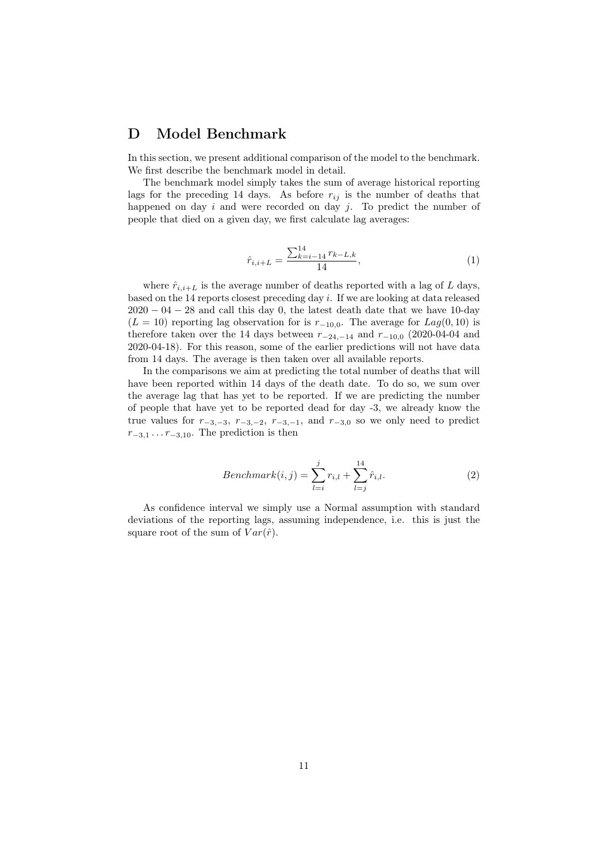### D Model Benchmark

In this section, we present additional comparison of the model to the benchmark. We first describe the benchmark model in detail.

The benchmark model simply takes the sum of average historical reporting lags for the preceding 14 days. As before  $r_{ij}$  is the number of deaths that happened on day  $i$  and were recorded on day  $j$ . To predict the number of people that died on a given day, we first calculate lag averages:

$$
\hat{r}_{i,i+L} = \frac{\sum_{k=i-14}^{14} r_{k-L,k}}{14},\tag{1}
$$

where  $\hat{r}_{i,i+L}$  is the average number of deaths reported with a lag of L days, based on the 14 reports closest preceding day i. If we are looking at data released  $2020 - 04 - 28$  and call this day 0, the latest death date that we have 10-day  $(L = 10)$  reporting lag observation for is  $r_{-10,0}$ . The average for  $Lag(0, 10)$  is therefore taken over the 14 days between  $r_{-24,-14}$  and  $r_{-10,0}$  (2020-04-04 and 2020-04-18). For this reason, some of the earlier predictions will not have data from 14 days. The average is then taken over all available reports.

In the comparisons we aim at predicting the total number of deaths that will have been reported within 14 days of the death date. To do so, we sum over the average lag that has yet to be reported. If we are predicting the number of people that have yet to be reported dead for day -3, we already know the true values for  $r_{-3,-3}$ ,  $r_{-3,-2}$ ,  $r_{-3,-1}$ , and  $r_{-3,0}$  so we only need to predict  $r_{-3,1} \ldots r_{-3,10}$ . The prediction is then

$$
Benchmark(i,j) = \sum_{l=i}^{j} r_{i,l} + \sum_{l=j}^{14} \hat{r}_{i,l}.
$$
 (2)

As confidence interval we simply use a Normal assumption with standard deviations of the reporting lags, assuming independence, i.e. this is just the square root of the sum of  $Var(\hat{r})$ .